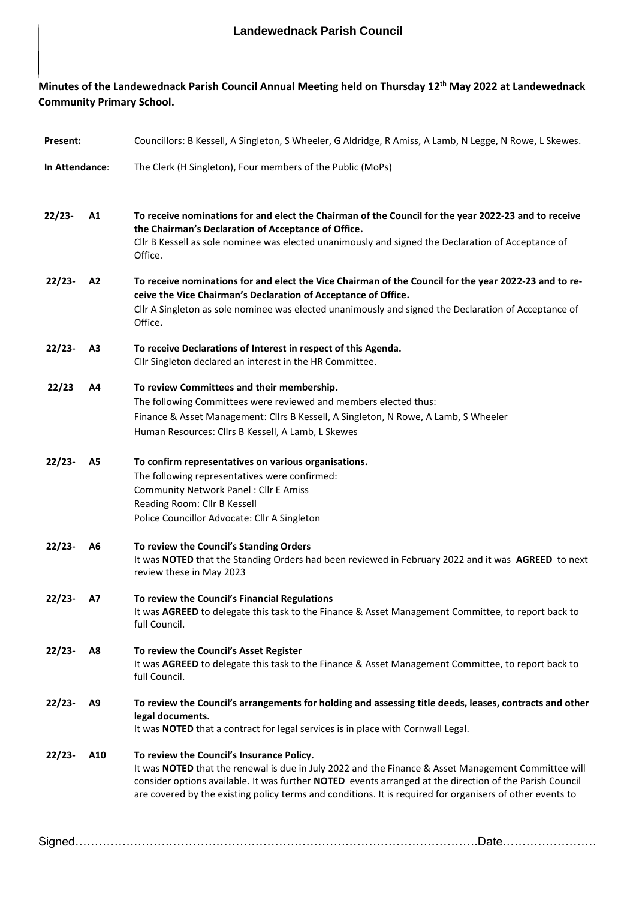## **Minutes of the Landewednack Parish Council Annual Meeting held on Thursday 12th May 2022 at Landewednack Community Primary School.**

| Present:       |     | Councillors: B Kessell, A Singleton, S Wheeler, G Aldridge, R Amiss, A Lamb, N Legge, N Rowe, L Skewes.                                                                                                                                                                                                                                                                  |
|----------------|-----|--------------------------------------------------------------------------------------------------------------------------------------------------------------------------------------------------------------------------------------------------------------------------------------------------------------------------------------------------------------------------|
| In Attendance: |     | The Clerk (H Singleton), Four members of the Public (MoPs)                                                                                                                                                                                                                                                                                                               |
| $22/23-$       | A1  | To receive nominations for and elect the Chairman of the Council for the year 2022-23 and to receive<br>the Chairman's Declaration of Acceptance of Office.<br>Cllr B Kessell as sole nominee was elected unanimously and signed the Declaration of Acceptance of<br>Office.                                                                                             |
| 22/23-         | A2  | To receive nominations for and elect the Vice Chairman of the Council for the year 2022-23 and to re-<br>ceive the Vice Chairman's Declaration of Acceptance of Office.<br>Cllr A Singleton as sole nominee was elected unanimously and signed the Declaration of Acceptance of<br>Office.                                                                               |
| $22/23-$       | A3  | To receive Declarations of Interest in respect of this Agenda.<br>Cllr Singleton declared an interest in the HR Committee.                                                                                                                                                                                                                                               |
| 22/23          | Α4  | To review Committees and their membership.<br>The following Committees were reviewed and members elected thus:<br>Finance & Asset Management: Cllrs B Kessell, A Singleton, N Rowe, A Lamb, S Wheeler<br>Human Resources: Cllrs B Kessell, A Lamb, L Skewes                                                                                                              |
| $22/23-$       | A5  | To confirm representatives on various organisations.<br>The following representatives were confirmed:<br><b>Community Network Panel: Cllr E Amiss</b><br>Reading Room: Cllr B Kessell<br>Police Councillor Advocate: Cllr A Singleton                                                                                                                                    |
| $22/23-$       | A6  | To review the Council's Standing Orders<br>It was NOTED that the Standing Orders had been reviewed in February 2022 and it was AGREED to next<br>review these in May 2023                                                                                                                                                                                                |
| $22/23-$       | А7  | To review the Council's Financial Regulations<br>It was AGREED to delegate this task to the Finance & Asset Management Committee, to report back to<br>full Council.                                                                                                                                                                                                     |
| $22/23-$       | A8  | To review the Council's Asset Register<br>It was AGREED to delegate this task to the Finance & Asset Management Committee, to report back to<br>full Council.                                                                                                                                                                                                            |
| $22/23-$       | A9  | To review the Council's arrangements for holding and assessing title deeds, leases, contracts and other<br>legal documents.<br>It was NOTED that a contract for legal services is in place with Cornwall Legal.                                                                                                                                                          |
| $22/23-$       | A10 | To review the Council's Insurance Policy.<br>It was NOTED that the renewal is due in July 2022 and the Finance & Asset Management Committee will<br>consider options available. It was further NOTED events arranged at the direction of the Parish Council<br>are covered by the existing policy terms and conditions. It is required for organisers of other events to |
|                |     | Signed…………………………………………………………………………………………<br>.Date                                                                                                                                                                                                                                                                                                                        |